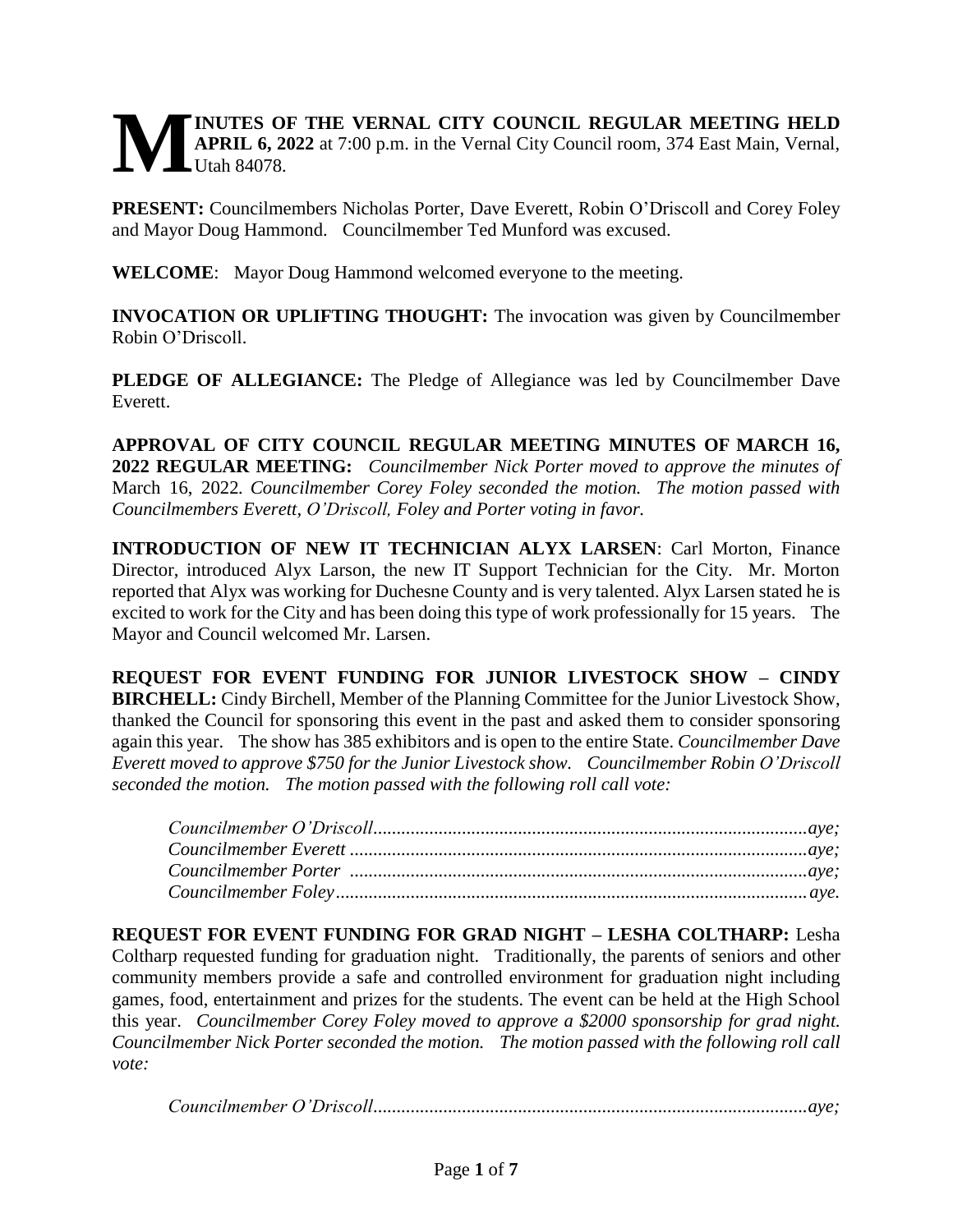# **INUTES OF THE VERNAL CITY COUNCIL REGULAR MEETING HELD APRIL 6, 2022** at 7:00 p.m. in the Vernal City Council room, 374 East Main, Vernal,  $L$ Utah 84078. **M**

**PRESENT:** Councilmembers Nicholas Porter, Dave Everett, Robin O'Driscoll and Corey Foley and Mayor Doug Hammond. Councilmember Ted Munford was excused.

**WELCOME**: Mayor Doug Hammond welcomed everyone to the meeting.

**INVOCATION OR UPLIFTING THOUGHT:** The invocation was given by Councilmember Robin O'Driscoll.

**PLEDGE OF ALLEGIANCE:** The Pledge of Allegiance was led by Councilmember Dave Everett.

**APPROVAL OF CITY COUNCIL REGULAR MEETING MINUTES OF MARCH 16, 2022 REGULAR MEETING:** *Councilmember Nick Porter moved to approve the minutes of* March 16, 2022*. Councilmember Corey Foley seconded the motion. The motion passed with Councilmembers Everett, O'Driscoll, Foley and Porter voting in favor.* 

**INTRODUCTION OF NEW IT TECHNICIAN ALYX LARSEN**: Carl Morton, Finance Director, introduced Alyx Larson, the new IT Support Technician for the City. Mr. Morton reported that Alyx was working for Duchesne County and is very talented. Alyx Larsen stated he is excited to work for the City and has been doing this type of work professionally for 15 years. The Mayor and Council welcomed Mr. Larsen.

**REQUEST FOR EVENT FUNDING FOR JUNIOR LIVESTOCK SHOW – CINDY BIRCHELL:** Cindy Birchell, Member of the Planning Committee for the Junior Livestock Show, thanked the Council for sponsoring this event in the past and asked them to consider sponsoring again this year. The show has 385 exhibitors and is open to the entire State. *Councilmember Dave Everett moved to approve \$750 for the Junior Livestock show. Councilmember Robin O'Driscoll seconded the motion. The motion passed with the following roll call vote:*

**REQUEST FOR EVENT FUNDING FOR GRAD NIGHT – LESHA COLTHARP:** Lesha Coltharp requested funding for graduation night. Traditionally, the parents of seniors and other community members provide a safe and controlled environment for graduation night including games, food, entertainment and prizes for the students. The event can be held at the High School this year. *Councilmember Corey Foley moved to approve a \$2000 sponsorship for grad night. Councilmember Nick Porter seconded the motion. The motion passed with the following roll call vote:* 

*Councilmember O'Driscoll.............................................................................................aye;*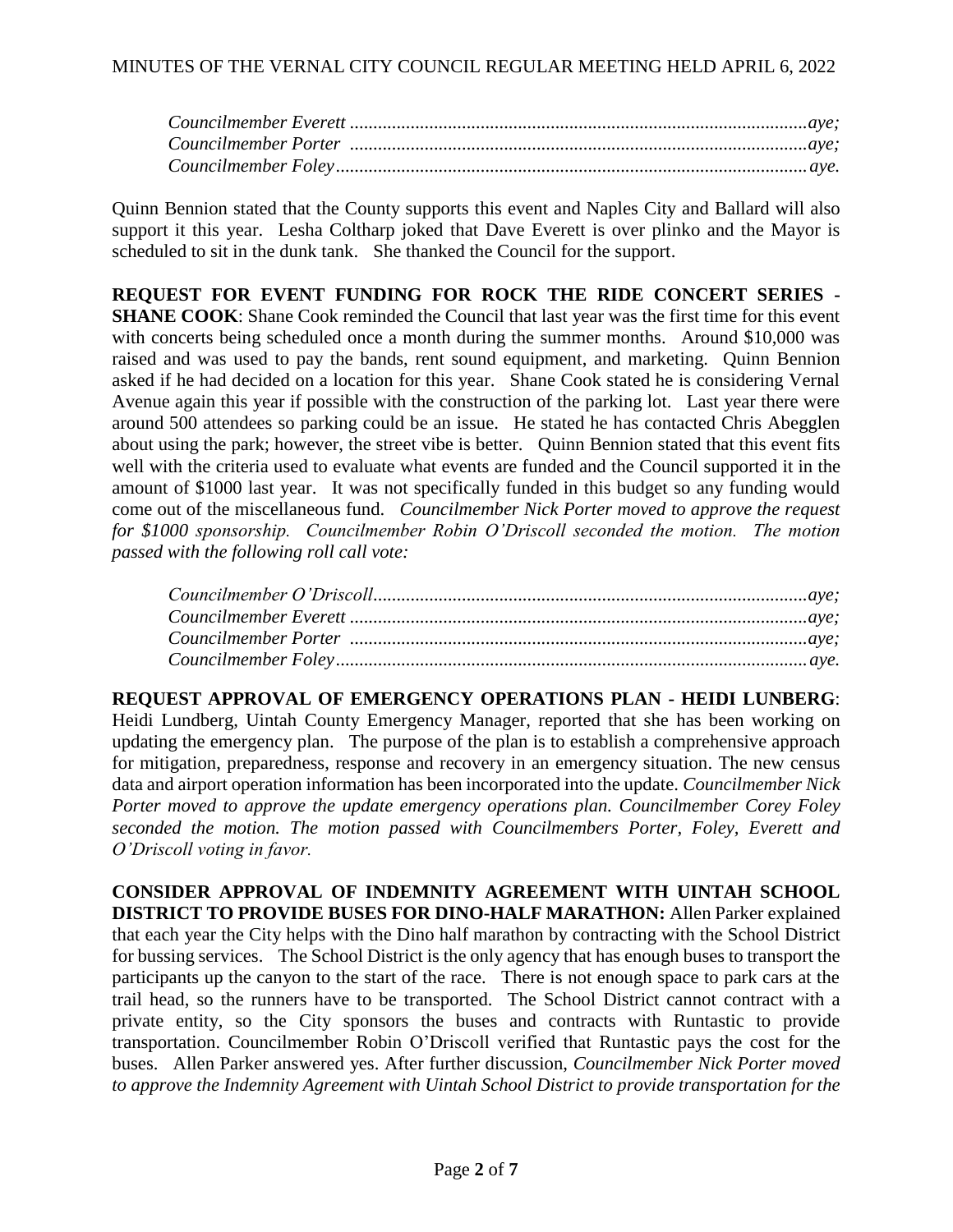Quinn Bennion stated that the County supports this event and Naples City and Ballard will also support it this year. Lesha Coltharp joked that Dave Everett is over plinko and the Mayor is scheduled to sit in the dunk tank. She thanked the Council for the support.

**REQUEST FOR EVENT FUNDING FOR ROCK THE RIDE CONCERT SERIES - SHANE COOK:** Shane Cook reminded the Council that last year was the first time for this event with concerts being scheduled once a month during the summer months. Around \$10,000 was raised and was used to pay the bands, rent sound equipment, and marketing. Quinn Bennion asked if he had decided on a location for this year. Shane Cook stated he is considering Vernal Avenue again this year if possible with the construction of the parking lot. Last year there were around 500 attendees so parking could be an issue. He stated he has contacted Chris Abegglen about using the park; however, the street vibe is better. Quinn Bennion stated that this event fits well with the criteria used to evaluate what events are funded and the Council supported it in the amount of \$1000 last year. It was not specifically funded in this budget so any funding would come out of the miscellaneous fund. *Councilmember Nick Porter moved to approve the request for \$1000 sponsorship. Councilmember Robin O'Driscoll seconded the motion. The motion passed with the following roll call vote:*

**REQUEST APPROVAL OF EMERGENCY OPERATIONS PLAN - HEIDI LUNBERG**: Heidi Lundberg, Uintah County Emergency Manager, reported that she has been working on updating the emergency plan. The purpose of the plan is to establish a comprehensive approach for mitigation, preparedness, response and recovery in an emergency situation. The new census data and airport operation information has been incorporated into the update. *Councilmember Nick Porter moved to approve the update emergency operations plan. Councilmember Corey Foley seconded the motion. The motion passed with Councilmembers Porter, Foley, Everett and O'Driscoll voting in favor.* 

**CONSIDER APPROVAL OF INDEMNITY AGREEMENT WITH UINTAH SCHOOL DISTRICT TO PROVIDE BUSES FOR DINO-HALF MARATHON:** Allen Parker explained that each year the City helps with the Dino half marathon by contracting with the School District for bussing services. The School District is the only agency that has enough buses to transport the participants up the canyon to the start of the race. There is not enough space to park cars at the trail head, so the runners have to be transported. The School District cannot contract with a private entity, so the City sponsors the buses and contracts with Runtastic to provide transportation. Councilmember Robin O'Driscoll verified that Runtastic pays the cost for the buses. Allen Parker answered yes. After further discussion, *Councilmember Nick Porter moved to approve the Indemnity Agreement with Uintah School District to provide transportation for the*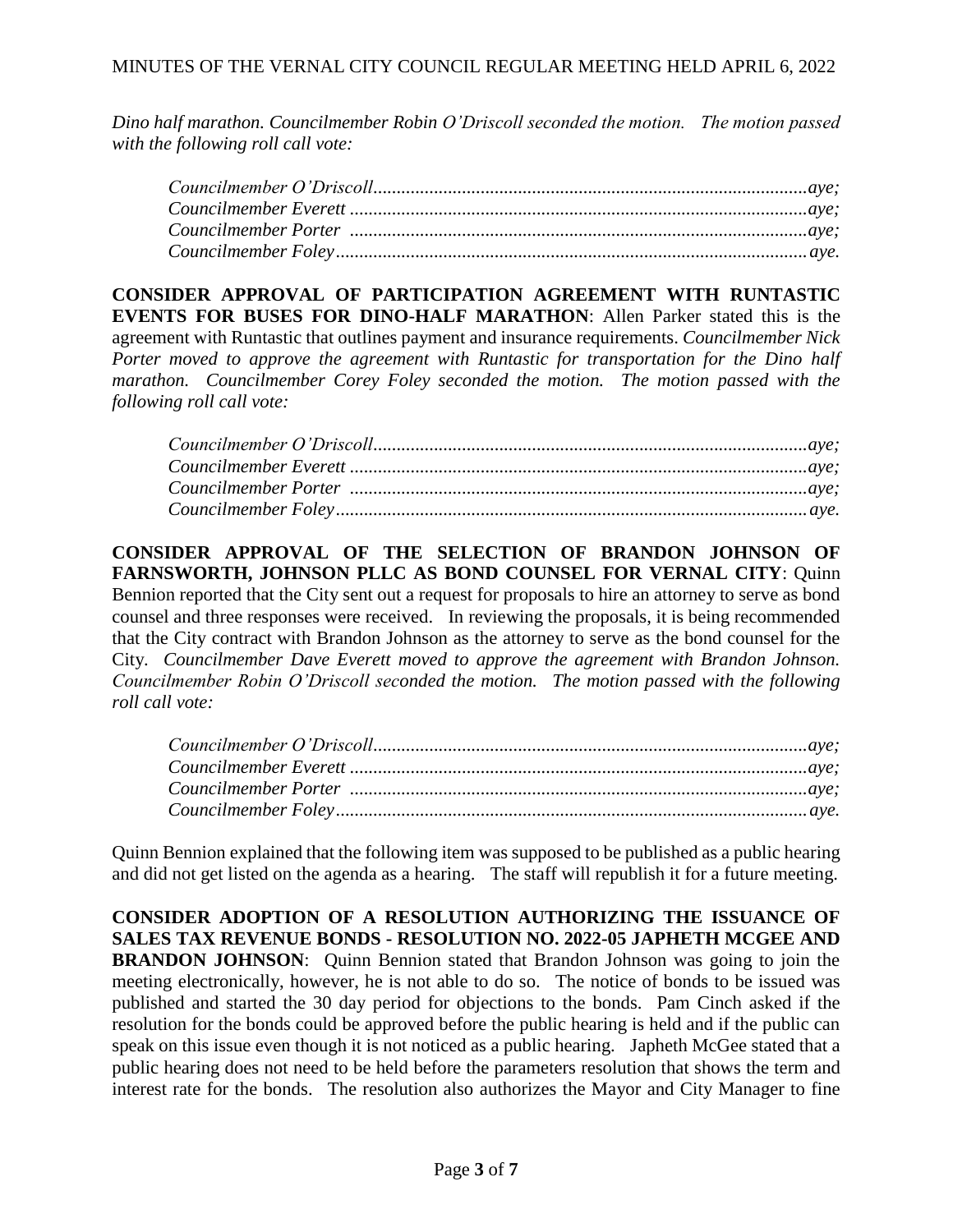*Dino half marathon. Councilmember Robin O'Driscoll seconded the motion. The motion passed with the following roll call vote:* 

**CONSIDER APPROVAL OF PARTICIPATION AGREEMENT WITH RUNTASTIC EVENTS FOR BUSES FOR DINO-HALF MARATHON**: Allen Parker stated this is the agreement with Runtastic that outlines payment and insurance requirements. *Councilmember Nick Porter moved to approve the agreement with Runtastic for transportation for the Dino half marathon. Councilmember Corey Foley seconded the motion. The motion passed with the following roll call vote:* 

**CONSIDER APPROVAL OF THE SELECTION OF BRANDON JOHNSON OF FARNSWORTH, JOHNSON PLLC AS BOND COUNSEL FOR VERNAL CITY**: Quinn Bennion reported that the City sent out a request for proposals to hire an attorney to serve as bond counsel and three responses were received. In reviewing the proposals, it is being recommended that the City contract with Brandon Johnson as the attorney to serve as the bond counsel for the City. *Councilmember Dave Everett moved to approve the agreement with Brandon Johnson. Councilmember Robin O'Driscoll seconded the motion. The motion passed with the following roll call vote:*

Quinn Bennion explained that the following item was supposed to be published as a public hearing and did not get listed on the agenda as a hearing. The staff will republish it for a future meeting.

**CONSIDER ADOPTION OF A RESOLUTION AUTHORIZING THE ISSUANCE OF SALES TAX REVENUE BONDS - RESOLUTION NO. 2022-05 JAPHETH MCGEE AND BRANDON JOHNSON:** Quinn Bennion stated that Brandon Johnson was going to join the meeting electronically, however, he is not able to do so. The notice of bonds to be issued was published and started the 30 day period for objections to the bonds. Pam Cinch asked if the resolution for the bonds could be approved before the public hearing is held and if the public can speak on this issue even though it is not noticed as a public hearing. Japheth McGee stated that a public hearing does not need to be held before the parameters resolution that shows the term and interest rate for the bonds. The resolution also authorizes the Mayor and City Manager to fine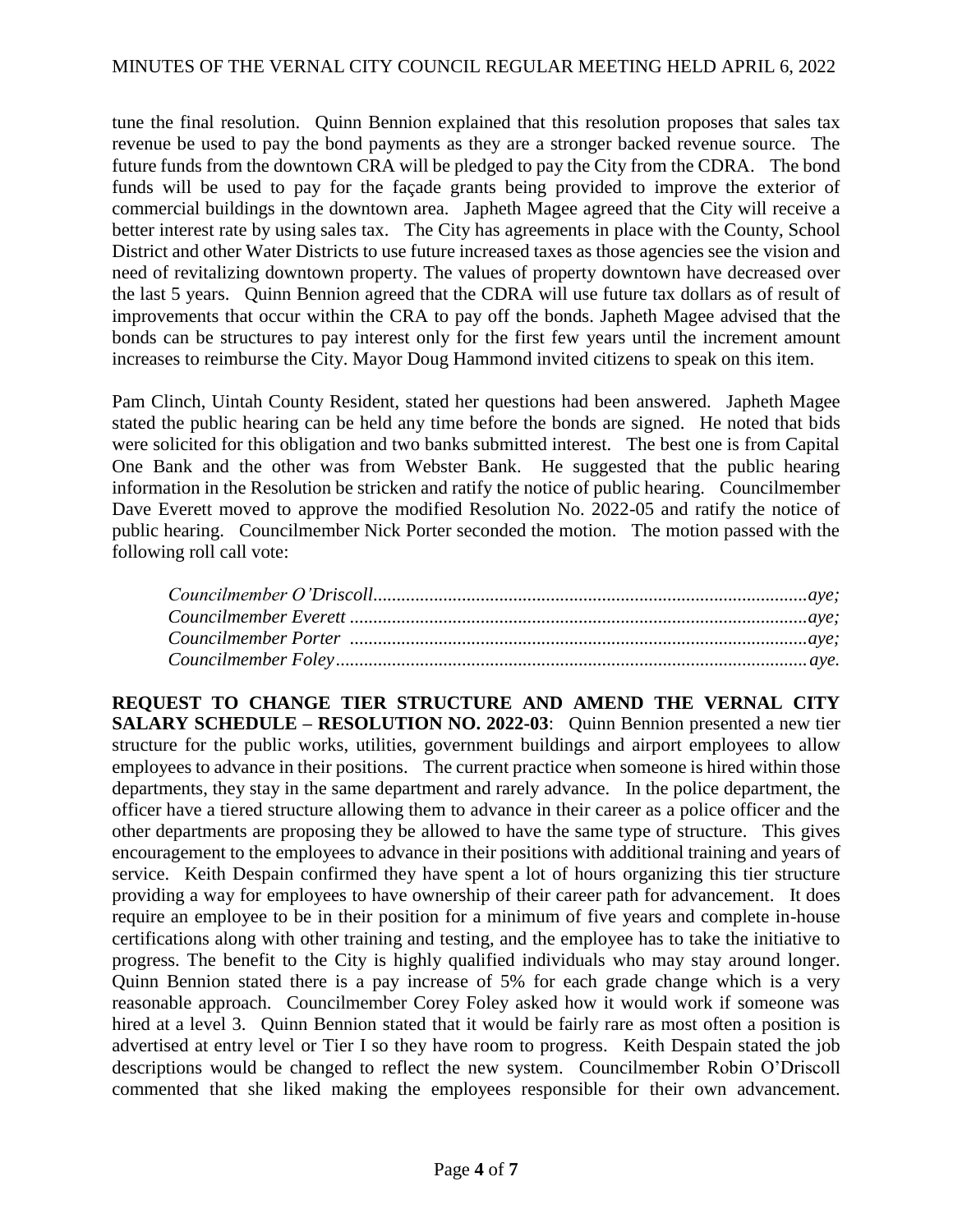tune the final resolution. Quinn Bennion explained that this resolution proposes that sales tax revenue be used to pay the bond payments as they are a stronger backed revenue source. The future funds from the downtown CRA will be pledged to pay the City from the CDRA. The bond funds will be used to pay for the façade grants being provided to improve the exterior of commercial buildings in the downtown area. Japheth Magee agreed that the City will receive a better interest rate by using sales tax. The City has agreements in place with the County, School District and other Water Districts to use future increased taxes as those agencies see the vision and need of revitalizing downtown property. The values of property downtown have decreased over the last 5 years. Quinn Bennion agreed that the CDRA will use future tax dollars as of result of improvements that occur within the CRA to pay off the bonds. Japheth Magee advised that the bonds can be structures to pay interest only for the first few years until the increment amount increases to reimburse the City. Mayor Doug Hammond invited citizens to speak on this item.

Pam Clinch, Uintah County Resident, stated her questions had been answered. Japheth Magee stated the public hearing can be held any time before the bonds are signed. He noted that bids were solicited for this obligation and two banks submitted interest. The best one is from Capital One Bank and the other was from Webster Bank. He suggested that the public hearing information in the Resolution be stricken and ratify the notice of public hearing. Councilmember Dave Everett moved to approve the modified Resolution No. 2022-05 and ratify the notice of public hearing. Councilmember Nick Porter seconded the motion. The motion passed with the following roll call vote:

**REQUEST TO CHANGE TIER STRUCTURE AND AMEND THE VERNAL CITY SALARY SCHEDULE – RESOLUTION NO. 2022-03**: Quinn Bennion presented a new tier structure for the public works, utilities, government buildings and airport employees to allow employees to advance in their positions. The current practice when someone is hired within those departments, they stay in the same department and rarely advance. In the police department, the officer have a tiered structure allowing them to advance in their career as a police officer and the other departments are proposing they be allowed to have the same type of structure. This gives encouragement to the employees to advance in their positions with additional training and years of service. Keith Despain confirmed they have spent a lot of hours organizing this tier structure providing a way for employees to have ownership of their career path for advancement. It does require an employee to be in their position for a minimum of five years and complete in-house certifications along with other training and testing, and the employee has to take the initiative to progress. The benefit to the City is highly qualified individuals who may stay around longer. Quinn Bennion stated there is a pay increase of 5% for each grade change which is a very reasonable approach. Councilmember Corey Foley asked how it would work if someone was hired at a level 3. Quinn Bennion stated that it would be fairly rare as most often a position is advertised at entry level or Tier I so they have room to progress. Keith Despain stated the job descriptions would be changed to reflect the new system. Councilmember Robin O'Driscoll commented that she liked making the employees responsible for their own advancement.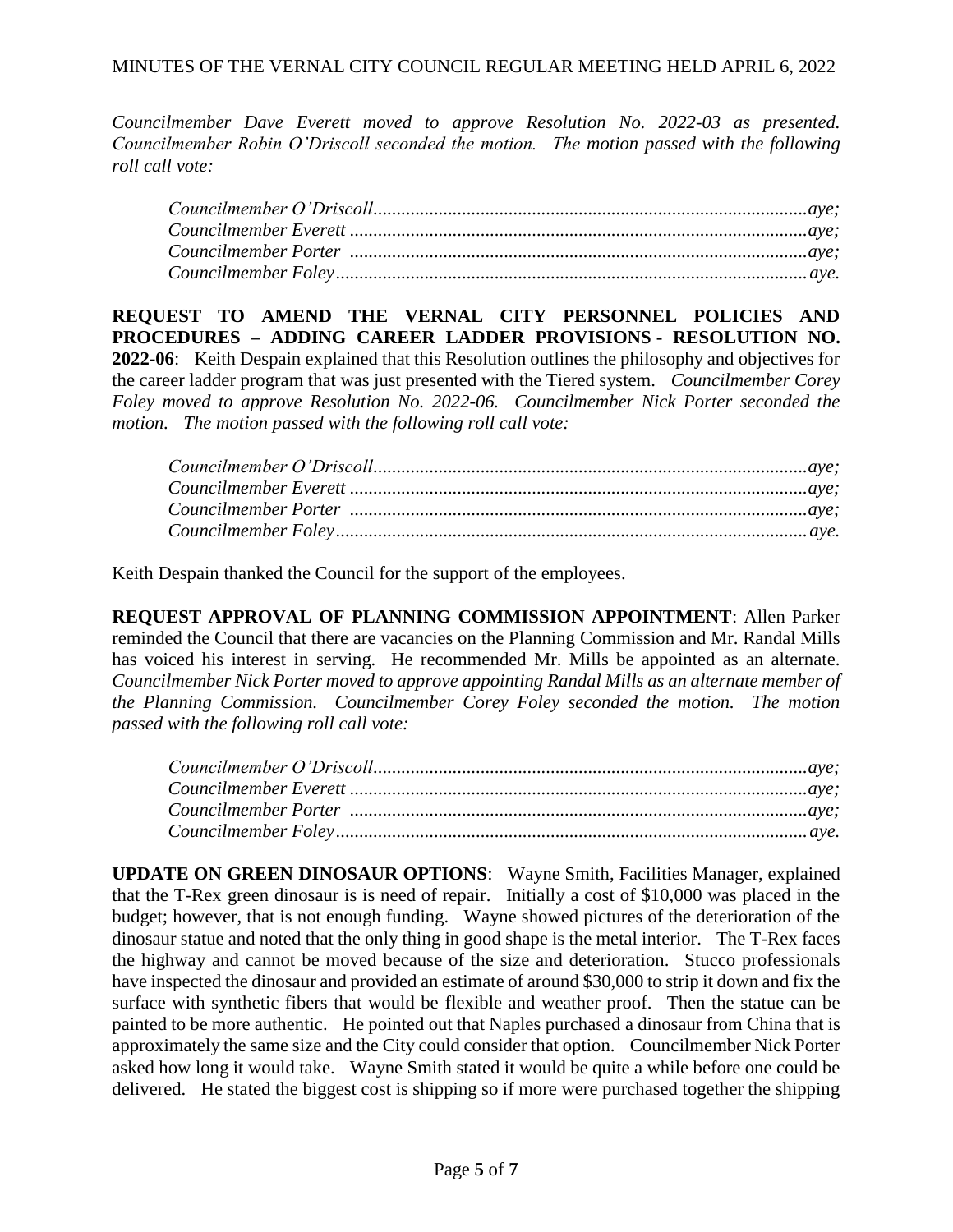*Councilmember Dave Everett moved to approve Resolution No. 2022-03 as presented. Councilmember Robin O'Driscoll seconded the motion. The motion passed with the following roll call vote:* 

**REQUEST TO AMEND THE VERNAL CITY PERSONNEL POLICIES AND PROCEDURES – ADDING CAREER LADDER PROVISIONS - RESOLUTION NO. 2022-06**: Keith Despain explained that this Resolution outlines the philosophy and objectives for the career ladder program that was just presented with the Tiered system. *Councilmember Corey Foley moved to approve Resolution No. 2022-06. Councilmember Nick Porter seconded the motion. The motion passed with the following roll call vote:* 

Keith Despain thanked the Council for the support of the employees.

**REQUEST APPROVAL OF PLANNING COMMISSION APPOINTMENT**: Allen Parker reminded the Council that there are vacancies on the Planning Commission and Mr. Randal Mills has voiced his interest in serving. He recommended Mr. Mills be appointed as an alternate. *Councilmember Nick Porter moved to approve appointing Randal Mills as an alternate member of the Planning Commission. Councilmember Corey Foley seconded the motion. The motion passed with the following roll call vote:*

**UPDATE ON GREEN DINOSAUR OPTIONS**: Wayne Smith, Facilities Manager, explained that the T-Rex green dinosaur is is need of repair. Initially a cost of \$10,000 was placed in the budget; however, that is not enough funding. Wayne showed pictures of the deterioration of the dinosaur statue and noted that the only thing in good shape is the metal interior. The T-Rex faces the highway and cannot be moved because of the size and deterioration. Stucco professionals have inspected the dinosaur and provided an estimate of around \$30,000 to strip it down and fix the surface with synthetic fibers that would be flexible and weather proof. Then the statue can be painted to be more authentic. He pointed out that Naples purchased a dinosaur from China that is approximately the same size and the City could consider that option. Councilmember Nick Porter asked how long it would take. Wayne Smith stated it would be quite a while before one could be delivered. He stated the biggest cost is shipping so if more were purchased together the shipping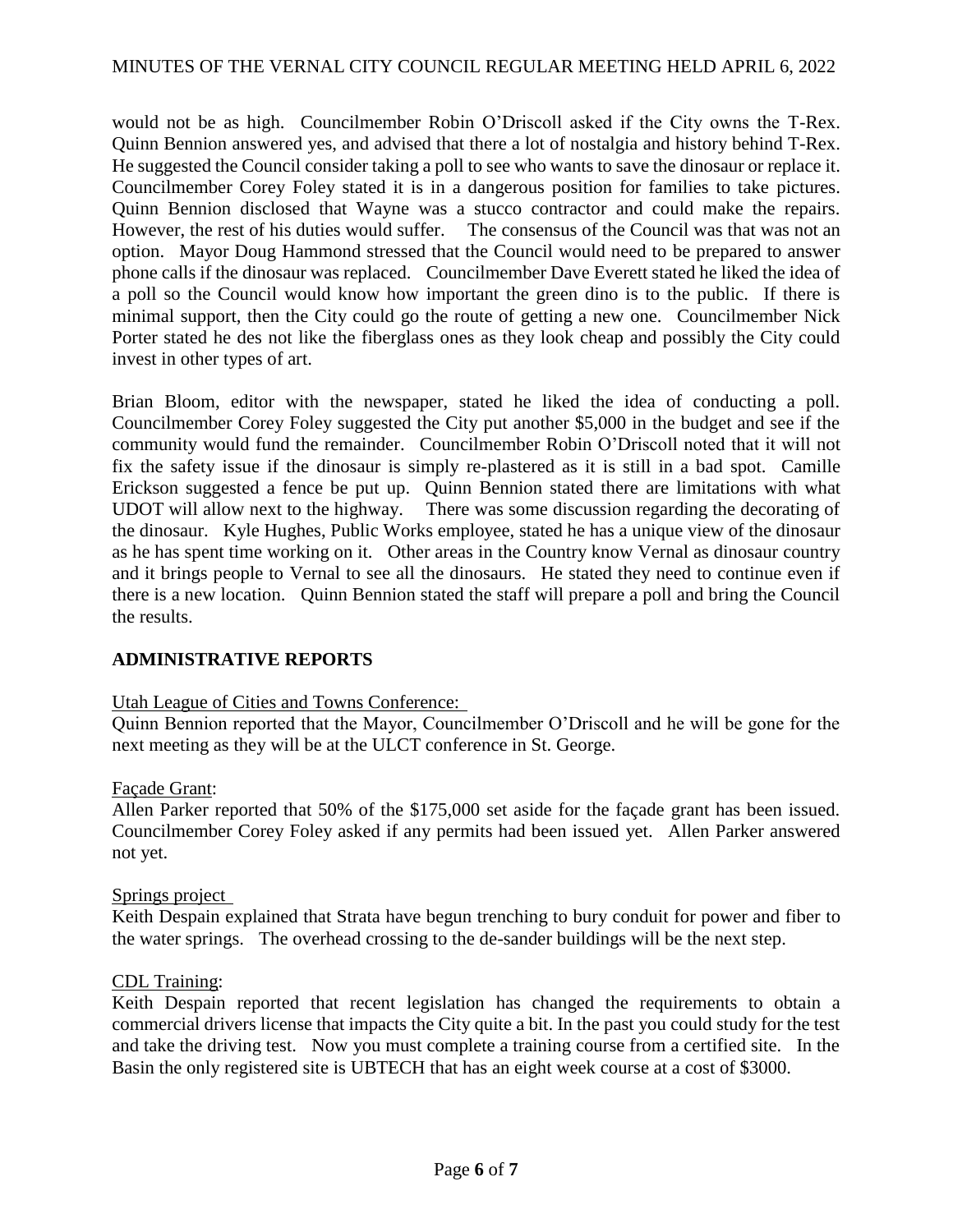would not be as high. Councilmember Robin O'Driscoll asked if the City owns the T-Rex. Quinn Bennion answered yes, and advised that there a lot of nostalgia and history behind T-Rex. He suggested the Council consider taking a poll to see who wants to save the dinosaur or replace it. Councilmember Corey Foley stated it is in a dangerous position for families to take pictures. Quinn Bennion disclosed that Wayne was a stucco contractor and could make the repairs. However, the rest of his duties would suffer. The consensus of the Council was that was not an option. Mayor Doug Hammond stressed that the Council would need to be prepared to answer phone calls if the dinosaur was replaced. Councilmember Dave Everett stated he liked the idea of a poll so the Council would know how important the green dino is to the public. If there is minimal support, then the City could go the route of getting a new one. Councilmember Nick Porter stated he des not like the fiberglass ones as they look cheap and possibly the City could invest in other types of art.

Brian Bloom, editor with the newspaper, stated he liked the idea of conducting a poll. Councilmember Corey Foley suggested the City put another \$5,000 in the budget and see if the community would fund the remainder. Councilmember Robin O'Driscoll noted that it will not fix the safety issue if the dinosaur is simply re-plastered as it is still in a bad spot. Camille Erickson suggested a fence be put up. Quinn Bennion stated there are limitations with what UDOT will allow next to the highway. There was some discussion regarding the decorating of the dinosaur. Kyle Hughes, Public Works employee, stated he has a unique view of the dinosaur as he has spent time working on it. Other areas in the Country know Vernal as dinosaur country and it brings people to Vernal to see all the dinosaurs. He stated they need to continue even if there is a new location. Quinn Bennion stated the staff will prepare a poll and bring the Council the results.

# **ADMINISTRATIVE REPORTS**

### Utah League of Cities and Towns Conference:

Quinn Bennion reported that the Mayor, Councilmember O'Driscoll and he will be gone for the next meeting as they will be at the ULCT conference in St. George.

### Façade Grant:

Allen Parker reported that 50% of the \$175,000 set aside for the façade grant has been issued. Councilmember Corey Foley asked if any permits had been issued yet. Allen Parker answered not yet.

### Springs project

Keith Despain explained that Strata have begun trenching to bury conduit for power and fiber to the water springs. The overhead crossing to the de-sander buildings will be the next step.

# CDL Training:

Keith Despain reported that recent legislation has changed the requirements to obtain a commercial drivers license that impacts the City quite a bit. In the past you could study for the test and take the driving test. Now you must complete a training course from a certified site. In the Basin the only registered site is UBTECH that has an eight week course at a cost of \$3000.